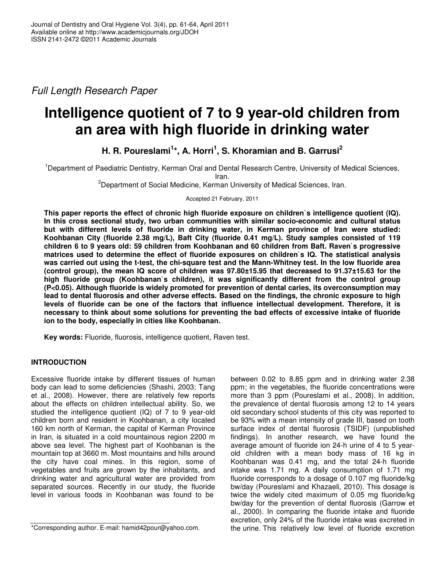*Full Length Research Paper*

# **Intelligence quotient of 7 to 9 year-old children from an area with high fluoride in drinking water**

**H. R. Poureslami 1 \*, A. Horri 1 , S. Khoramian and B. Garrusi 2**

<sup>1</sup>Department of Paediatric Dentistry, Kerman Oral and Dental Research Centre, University of Medical Sciences, Iran.

<sup>2</sup>Department of Social Medicine, Kerman University of Medical Sciences, Iran.

Accepted 21 February, 2011

**This paper reports the effect of chronic high fluoride exposure on children`s intelligence quotient (IQ). In this cross sectional study, two urban communities with similar socio-economic and cultural status but with different levels of fluoride in drinking water, in Kerman province of Iran were studied: Koohbanan City (fluoride 2.38 mg/L), Baft City (fluoride 0.41 mg/L). Study samples consisted of 119 children 6 to 9 years old: 59 children from Koohbanan and 60 children from Baft. Raven`s progressive matrices used to determine the effect of fluoride exposures on children`s IQ. The statistical analysis** was carried out using the t-test, the chi-square test and the Mann-Whitney test. In the low fluoride area **(control group), the mean IQ score of children was 97.80±15.95 that decreased to 91.37±15.63 for the high fluoride group (Koohbanan`s children), it was significantly different from the control group (P<0.05). Although fluoride is widely promoted for prevention of dental caries, its overconsumption may lead to dental fluorosis and other adverse effects. Based on the findings, the chronic exposure to high levels of fluoride can be one of the factors that influence intellectual development. Therefore, it is necessary to think about some solutions for preventing the bad effects of excessive intake of fluoride ion to the body, especially in cities like Koohbanan.**

**Key words:** Fluoride, fluorosis, intelligence quotient, Raven test.

## **INTRODUCTION**

Excessive fluoride intake by different tissues of human body can lead to some deficiencies (Shashi, 2003; Tang et al., 2008). However, there are relatively few reports about the effects on children intellectual ability. So, we studied the intelligence quotient (IQ) of 7 to 9 year-old children born and resident in Koohbanan, a city located 160 km north of Kerman, the capital of Kerman Province in Iran, is situated in a cold mountainous region 2200 m above sea level. The highest part of Koohbanan is the mountain top at 3660 m. Most mountains and hills around the city have coal mines. In this region, some of vegetables and fruits are grown by the inhabitants, and drinking water and agricultural water are provided from separated sources. Recently in our study, the fluoride level in various foods in Koohbanan was found to be

between 0.02 to 8.85 ppm and in drinking water 2.38 ppm; in the vegetables, the fluoride concentrations were more than 3 ppm (Poureslami et al., 2008). In addition, the prevalence of dental fluorosis among 12 to 14 years old secondary school students of this city was reported to be 93% with a mean intensity of grade III, based on tooth surface index of dental fluorosis (TSIDF) (unpublished findings). In another research, we have found the average amount of fluoride ion 24-h urine of 4 to 5 yearold children with a mean body mass of 16 kg in Koohbanan was 0.41 mg, and the total 24-h fluoride intake was 1.71 mg. A daily consumption of 1.71 mg fluoride corresponds to a dosage of 0.107 mg fluoride/kg bw/day (Poureslami and Khazaeli, 2010). This dosage is twice the widely cited maximum of 0.05 mg fluoride/kg bw/day for the prevention of dental fluorosis (Garrow et al., 2000). In comparing the fluoride intake and fluoride excretion, only 24% of the fluoride intake was excreted in the urine. This relatively low level of fluoride excretion

<sup>\*</sup>Corresponding author. E-mail: hamid42pour@yahoo.com.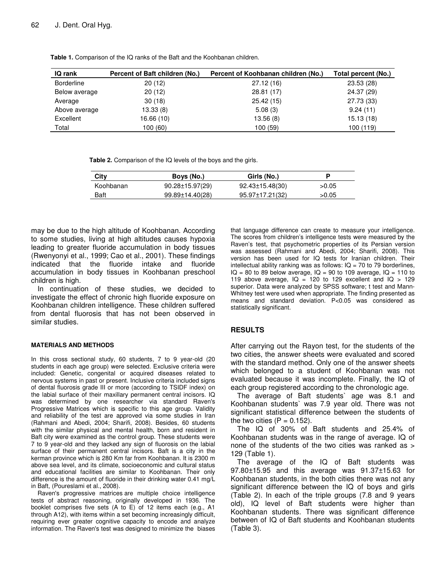| <b>IQ rank</b>    | Percent of Baft children (No.) | Percent of Koohbanan children (No.) | Total percent (No.) |
|-------------------|--------------------------------|-------------------------------------|---------------------|
| <b>Borderline</b> | 20(12)                         | 27.12(16)                           | 23.53(28)           |
| Below average     | 20(12)                         | 28.81 (17)                          | 24.37 (29)          |
| Average           | 30(18)                         | 25.42(15)                           | 27.73 (33)          |
| Above average     | 13.33(8)                       | 5.08(3)                             | 9.24(11)            |
| Excellent         | 16.66(10)                      | 13.56(8)                            | 15.13(18)           |
| Total             | 100 (60)                       | 100 (59)                            | 100 (119)           |

**Table 1.** Comparison of the IQ ranks of the Baft and the Koohbanan children.

**Table 2.** Comparison of the IQ levels of the boys and the girls.

| City      | Boys (No.)            | Girls (No.)     |       |
|-----------|-----------------------|-----------------|-------|
| Koohbanan | $90.28 \pm 15.97(29)$ | 92.43±15.48(30) | >0.05 |
| Baft      | 99.89±14.40(28)       | 95.97±17.21(32) | >0.05 |

may be due to the high altitude of Koohbanan. According to some studies, living at high altitudes causes hypoxia leading to greater fluoride accumulation in body tissues (Rwenyonyi et al., 1999; Cao et al., 2001). These findings indicated that the fluoride intake and fluoride accumulation in body tissues in Koohbanan preschool children is high.

In continuation of these studies, we decided to investigate the effect of chronic high fluoride exposure on Koohbanan children intelligence. These children suffered from dental fluorosis that has not been observed in similar studies.

#### **MATERIALS AND METHODS**

In this cross sectional study, 60 students, 7 to 9 year-old (20 students in each age group) were selected. Exclusive criteria were included: Genetic, congenital or acquired diseases related to nervous systems in past or present. Inclusive criteria included signs of dental fluorosis grade III or more (according to TSIDF index) on the labial surface of their maxillary permanent central incisors. IQ was determined by one researcher via standard Raven's Progressive Matrices which is specific to this age group. Validity and reliability of the test are approved via some studies in Iran (Rahmani and Abedi, 2004; Sharifi, 2008). Besides, 60 students with the similar physical and mental health, born and resident in Baft city were examined as the control group. These students were 7 to 9 year-old and they lacked any sign of fluorosis on the labial surface of their permanent central incisors. Baft is a city in the kerman province which is 280 Km far from Koohbanan. It is 2300 m above sea level, and its climate, socioeconomic and cultural status and educational facilities are similar to Koohbanan. Their only difference is the amount of fluoride in their drinking water 0.41 mg/L in Baft, (Poureslami et al., 2008).

Raven's progressive matrices are multiple choice intelligence tests of abstract reasoning, originally developed in 1936. The booklet comprises five sets (A to E) of 12 items each (e.g., A1 through A12), with items within a set becoming increasingly difficult, requiring ever greater cognitive capacity to encode and analyze information. The Raven's test was designed to minimize the biases

that language difference can create to measure your intelligence. The scores from children's intelligence tests were measured by the Raven's test, that psychometric properties of its Persian version was assessed (Rahmani and Abedi, 2004; Sharifi, 2008). This version has been used for IQ tests for Iranian children. Their intellectual ability ranking was as follows:  $IQ = 70$  to 79 borderlines,  $IQ = 80$  to 89 below average,  $IQ = 90$  to 109 average,  $IQ = 110$  to 119 above average,  $IQ = 120$  to 129 excellent and  $IQ > 129$ superior. Data were analyzed by SPSS software; t test and Mann-Whitney test were used when appropriate. The finding presented as means and standard deviation. P<0.05 was considered as statistically significant.

## **RESULTS**

After carrying out the Rayon test, for the students of the two cities, the answer sheets were evaluated and scored with the standard method. Only one of the answer sheets which belonged to a student of Koohbanan was not evaluated because it was incomplete. Finally, the IQ of each group registered according to the chronologic age.

The average of Baft students` age was 8.1 and Koohbanan students` was 7.9 year old. There was not significant statistical difference between the students of the two cities  $(P = 0.152)$ .

The IQ of 30% of Baft students and 25.4% of Koohbanan students was in the range of average. IQ of none of the students of the two cities was ranked as > 129 (Table 1).

The average of the IQ of Baft students was 97.80±15.95 and this average was 91.37±15.63 for Koohbanan students, in the both cities there was not any significant difference between the IQ of boys and girls (Table 2). In each of the triple groups (7.8 and 9 years old), IQ level of Baft students were higher than Koohbanan students. There was significant difference between of IQ of Baft students and Koohbanan students (Table 3).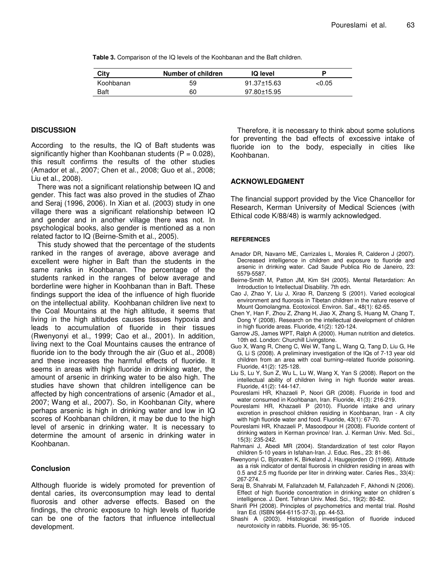**Table 3.** Comparison of the IQ levels of the Koohbanan and the Baft children.

| City      | Number of children | <b>IQ</b> level |       |
|-----------|--------------------|-----------------|-------|
| Koohbanan | 59                 | 91.37±15.63     | <0.05 |
| Baft      | 60                 | 97.80±15.95     |       |

#### **DISCUSSION**

According to the results, the IQ of Baft students was significantly higher than Koohbanan students  $(P = 0.028)$ , this result confirms the results of the other studies (Amador et al., 2007; Chen et al., 2008; Guo et al., 2008; Liu et al., 2008).

There was not a significant relationship between IQ and gender. This fact was also proved in the studies of Zhao and Seraj (1996, 2006). In Xian et al. (2003) study in one village there was a significant relationship between IQ and gender and in another village there was not. In psychological books, also gender is mentioned as a non related factor to IQ (Beirne-Smith et al., 2005).

This study showed that the percentage of the students ranked in the ranges of average, above average and excellent were higher in Baft than the students in the same ranks in Koohbanan. The percentage of the students ranked in the ranges of below average and borderline were higher in Koohbanan than in Baft. These findings support the idea of the influence of high fluoride on the intellectual ability. Koohbanan children live next to the Coal Mountains at the high altitude, it seems that living in the high altitudes causes tissues hypoxia and leads to accumulation of fluoride in their tissues (Rwenyonyi et al., 1999; Cao et al., 2001). In addition, living next to the Coal Mountains causes the entrance of fluoride ion to the body through the air (Guo et al., 2008) and these increases the harmful effects of fluoride. It seems in areas with high fluoride in drinking water, the amount of arsenic in drinking water to be also high. The studies have shown that children intelligence can be affected by high concentrations of arsenic (Amador et al., 2007; Wang et al., 2007). So, in Koohbanan City, where perhaps arsenic is high in drinking water and low in IQ scores of Koohbanan children, it may be due to the high level of arsenic in drinking water. It is necessary to determine the amount of arsenic in drinking water in Koohbanan.

## **Conclusion**

Although fluoride is widely promoted for prevention of dental caries, its overconsumption may lead to dental fluorosis and other adverse effects. Based on the findings, the chronic exposure to high levels of fluoride can be one of the factors that influence intellectual development.

Therefore, it is necessary to think about some solutions for preventing the bad effects of excessive intake of fluoride ion to the body, especially in cities like Koohbanan.

### **ACKNOWLEDGMENT**

The financial support provided by the Vice Chancellor for Research, Kerman University of Medical Sciences (with Ethical code K/88/48) is warmly acknowledged.

#### **REFERENCES**

- Amador DR, Navarro ME, Carrizales L, Morales R, Calderon J (2007). Decreased intelligence in children and exposure to fluoride and arsenic in drinking water. Cad Saude Publica Rio de Janeiro, 23: 5579-5587.
- Beirne-Smith M, Patton JM, Kim SH (2005). Mental Retardation: An Introduction to Intellectual Disability. 7th edn.
- Cao J, Zhao Y, Liu J, Xirao R, Danzeng S (2001). Varied ecological environment and fluorosis in Tibetan children in the nature reserve of Mount Qomolangma. Ecotoxicol. Environ. Saf., 48(1): 62-65.
- Chen Y, Han F, Zhou Z, Zhang H, Jiao X, Zhang S, Huang M, Chang T, Dong Y (2008). Research on the intellectual development of children in high fluoride areas. Fluoride, 41(2): 120-124.
- Garrow JS, James WPT, Ralph A (2000). Human nutrition and dietetics. 10th ed. London: Churchill Livingstone.
- Guo X, Wang R, Cheng C, Wei W, Tang L, Wang Q, Tang D, Liu G, He G, Li S (2008). A preliminary investigation of the IQs of 7-13 year old children from an area with coal burning–related fluoride poisoning. Fluoride, 41(2): 125-128.
- Liu S, Lu Y, Sun Z, Wu L, Lu W, Wang X, Yan S (2008). Report on the intellectual ability of children living in high fluoride water areas. Fluoride, 41(2): 144-147.
- Poureslami HR, Khazaeli P, Noori GR (2008). Fluoride in food and water consumed in Koohbanan, Iran. Fluoride, 41(3): 216-219.
- Poureslami HR, Khazaeli P (2010). Fluoride intake and urinary excretion in preschool children residing in Koohbanan, Iran - A city with high fluoride water and food. Fluoride, 43(1): 67-70.
- Poureslami HR, Khazaeli P, Masoodpour H (2008). Fluoride content of drinking waters in Kerman province/ Iran. J. Kerman Univ. Med. Sci., 15(3): 235-242.
- Rahmani J, Abedi MR (2004). Standardization of test color Rayon children 5-10 years in Isfahan-Iran. J. Educ. Res., 23: 81-86.
- Rwenyonyi C, Bjorvaten K, Birkeland J, Haugejorden O (1999). Altitude as a risk indicator of dental fluorosis in children residing in areas with 0.5 and 2.5 mg fluoride per liter in drinking water. Caries Res., 33(4): 267-274.
- Seraj B, Shahrabi M, Fallahzadeh M, Fallahzadeh F, Akhondi N (2006). Effect of high fluoride concentration in drinking water on children`s intelligence. J. Dent. Tehran Univ. Med. Sci., 19(2): 80-82.
- Sharifi PH (2008). Principles of psychometrics and mental trial. Roshd Iran Ed. (ISBN 964-6115-37-3), pp. 44-53.
- Shashi A (2003). Histological investigation of fluoride induced neurotoxicity in rabbits. Fluoride, 36: 95-105.